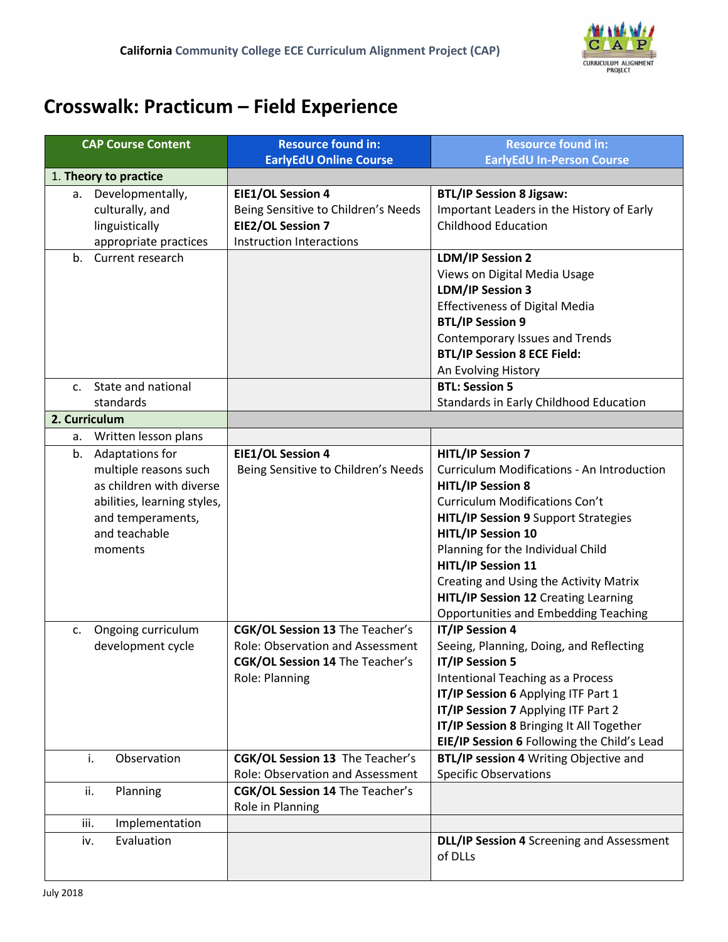

## **Crosswalk: Practicum – Field Experience**

| <b>CAP Course Content</b>                                                                                                                                  | <b>Resource found in:</b><br><b>EarlyEdU Online Course</b>                                                                             | <b>Resource found in:</b><br><b>EarlyEdU In-Person Course</b>                                                                                                                                                                                                                                                                                                                                                              |  |  |
|------------------------------------------------------------------------------------------------------------------------------------------------------------|----------------------------------------------------------------------------------------------------------------------------------------|----------------------------------------------------------------------------------------------------------------------------------------------------------------------------------------------------------------------------------------------------------------------------------------------------------------------------------------------------------------------------------------------------------------------------|--|--|
| 1. Theory to practice                                                                                                                                      |                                                                                                                                        |                                                                                                                                                                                                                                                                                                                                                                                                                            |  |  |
| a. Developmentally,<br>culturally, and<br>linguistically<br>appropriate practices                                                                          | <b>EIE1/OL Session 4</b><br>Being Sensitive to Children's Needs<br><b>EIE2/OL Session 7</b><br><b>Instruction Interactions</b>         | <b>BTL/IP Session 8 Jigsaw:</b><br>Important Leaders in the History of Early<br><b>Childhood Education</b>                                                                                                                                                                                                                                                                                                                 |  |  |
| Current research<br>$b_{\cdot}$                                                                                                                            |                                                                                                                                        | <b>LDM/IP Session 2</b><br>Views on Digital Media Usage<br><b>LDM/IP Session 3</b><br><b>Effectiveness of Digital Media</b><br><b>BTL/IP Session 9</b><br><b>Contemporary Issues and Trends</b><br><b>BTL/IP Session 8 ECE Field:</b><br>An Evolving History                                                                                                                                                               |  |  |
| State and national<br>$c_{\cdot}$                                                                                                                          |                                                                                                                                        | <b>BTL: Session 5</b>                                                                                                                                                                                                                                                                                                                                                                                                      |  |  |
| standards                                                                                                                                                  |                                                                                                                                        | Standards in Early Childhood Education                                                                                                                                                                                                                                                                                                                                                                                     |  |  |
| 2. Curriculum                                                                                                                                              |                                                                                                                                        |                                                                                                                                                                                                                                                                                                                                                                                                                            |  |  |
| Written lesson plans<br>а.                                                                                                                                 |                                                                                                                                        |                                                                                                                                                                                                                                                                                                                                                                                                                            |  |  |
| Adaptations for<br>b.<br>multiple reasons such<br>as children with diverse<br>abilities, learning styles,<br>and temperaments,<br>and teachable<br>moments | <b>EIE1/OL Session 4</b><br>Being Sensitive to Children's Needs                                                                        | <b>HITL/IP Session 7</b><br>Curriculum Modifications - An Introduction<br><b>HITL/IP Session 8</b><br><b>Curriculum Modifications Con't</b><br><b>HITL/IP Session 9 Support Strategies</b><br><b>HITL/IP Session 10</b><br>Planning for the Individual Child<br><b>HITL/IP Session 11</b><br>Creating and Using the Activity Matrix<br>HITL/IP Session 12 Creating Learning<br><b>Opportunities and Embedding Teaching</b> |  |  |
| Ongoing curriculum<br>C.<br>development cycle                                                                                                              | <b>CGK/OL Session 13 The Teacher's</b><br>Role: Observation and Assessment<br><b>CGK/OL Session 14 The Teacher's</b><br>Role: Planning | <b>IT/IP Session 4</b><br>Seeing, Planning, Doing, and Reflecting<br>IT/IP Session 5<br>Intentional Teaching as a Process<br>IT/IP Session 6 Applying ITF Part 1<br>IT/IP Session 7 Applying ITF Part 2<br>IT/IP Session 8 Bringing It All Together<br>EIE/IP Session 6 Following the Child's Lead                                                                                                                         |  |  |
| i.<br>Observation                                                                                                                                          | CGK/OL Session 13 The Teacher's<br>Role: Observation and Assessment                                                                    | BTL/IP session 4 Writing Objective and<br><b>Specific Observations</b>                                                                                                                                                                                                                                                                                                                                                     |  |  |
| Planning<br>ii.                                                                                                                                            | CGK/OL Session 14 The Teacher's<br>Role in Planning                                                                                    |                                                                                                                                                                                                                                                                                                                                                                                                                            |  |  |
| Implementation<br>iii.                                                                                                                                     |                                                                                                                                        |                                                                                                                                                                                                                                                                                                                                                                                                                            |  |  |
| Evaluation<br>iv.                                                                                                                                          |                                                                                                                                        | DLL/IP Session 4 Screening and Assessment<br>of DLLs                                                                                                                                                                                                                                                                                                                                                                       |  |  |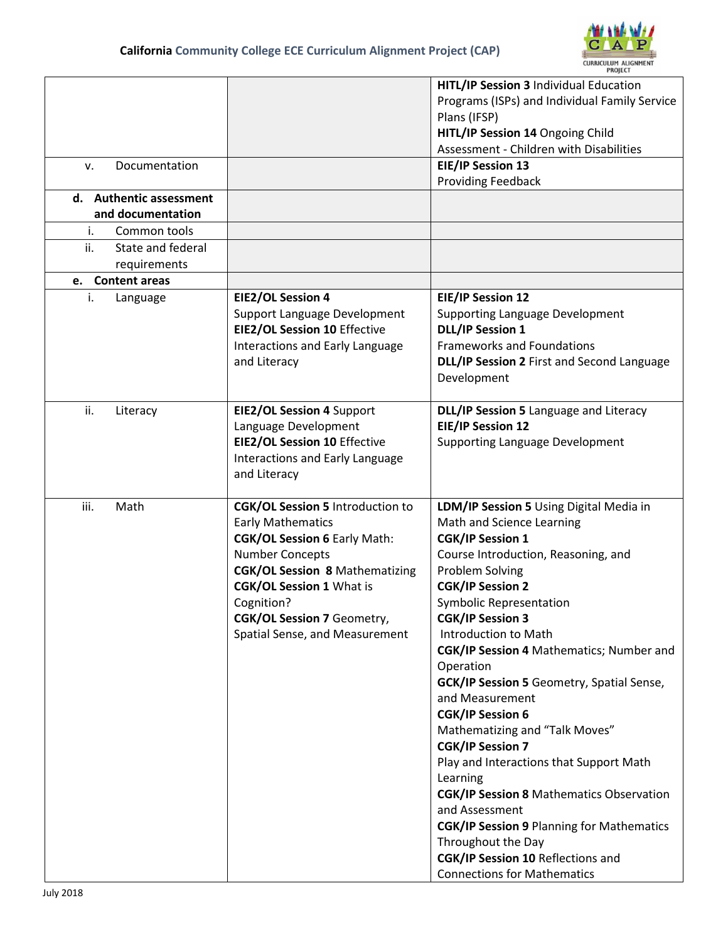

| Documentation<br>v.<br>d. Authentic assessment<br>and documentation<br>Common tools<br>i.<br>ii.<br>State and federal<br>requirements |                                                                                                                                                                                                                                                                                                       | HITL/IP Session 3 Individual Education<br>Programs (ISPs) and Individual Family Service<br>Plans (IFSP)<br>HITL/IP Session 14 Ongoing Child<br>Assessment - Children with Disabilities<br><b>EIE/IP Session 13</b><br><b>Providing Feedback</b>                                                                                                                                                                                                                                                                                                                                                                                                                                                                                                                             |
|---------------------------------------------------------------------------------------------------------------------------------------|-------------------------------------------------------------------------------------------------------------------------------------------------------------------------------------------------------------------------------------------------------------------------------------------------------|-----------------------------------------------------------------------------------------------------------------------------------------------------------------------------------------------------------------------------------------------------------------------------------------------------------------------------------------------------------------------------------------------------------------------------------------------------------------------------------------------------------------------------------------------------------------------------------------------------------------------------------------------------------------------------------------------------------------------------------------------------------------------------|
| e. Content areas                                                                                                                      |                                                                                                                                                                                                                                                                                                       |                                                                                                                                                                                                                                                                                                                                                                                                                                                                                                                                                                                                                                                                                                                                                                             |
| i.<br>Language                                                                                                                        | <b>EIE2/OL Session 4</b><br>Support Language Development<br><b>EIE2/OL Session 10 Effective</b><br>Interactions and Early Language<br>and Literacy                                                                                                                                                    | <b>EIE/IP Session 12</b><br><b>Supporting Language Development</b><br><b>DLL/IP Session 1</b><br><b>Frameworks and Foundations</b><br>DLL/IP Session 2 First and Second Language<br>Development                                                                                                                                                                                                                                                                                                                                                                                                                                                                                                                                                                             |
| ii.<br>Literacy                                                                                                                       | EIE2/OL Session 4 Support<br>Language Development<br><b>EIE2/OL Session 10 Effective</b><br>Interactions and Early Language<br>and Literacy                                                                                                                                                           | DLL/IP Session 5 Language and Literacy<br><b>EIE/IP Session 12</b><br><b>Supporting Language Development</b>                                                                                                                                                                                                                                                                                                                                                                                                                                                                                                                                                                                                                                                                |
| iii.<br>Math                                                                                                                          | <b>CGK/OL Session 5 Introduction to</b><br><b>Early Mathematics</b><br><b>CGK/OL Session 6 Early Math:</b><br><b>Number Concepts</b><br><b>CGK/OL Session 8 Mathematizing</b><br><b>CGK/OL Session 1 What is</b><br>Cognition?<br><b>CGK/OL Session 7 Geometry,</b><br>Spatial Sense, and Measurement | LDM/IP Session 5 Using Digital Media in<br>Math and Science Learning<br><b>CGK/IP Session 1</b><br>Course Introduction, Reasoning, and<br>Problem Solving<br><b>CGK/IP Session 2</b><br>Symbolic Representation<br><b>CGK/IP Session 3</b><br>Introduction to Math<br>CGK/IP Session 4 Mathematics; Number and<br>Operation<br><b>GCK/IP Session 5 Geometry, Spatial Sense,</b><br>and Measurement<br><b>CGK/IP Session 6</b><br>Mathematizing and "Talk Moves"<br><b>CGK/IP Session 7</b><br>Play and Interactions that Support Math<br>Learning<br><b>CGK/IP Session 8 Mathematics Observation</b><br>and Assessment<br><b>CGK/IP Session 9 Planning for Mathematics</b><br>Throughout the Day<br>CGK/IP Session 10 Reflections and<br><b>Connections for Mathematics</b> |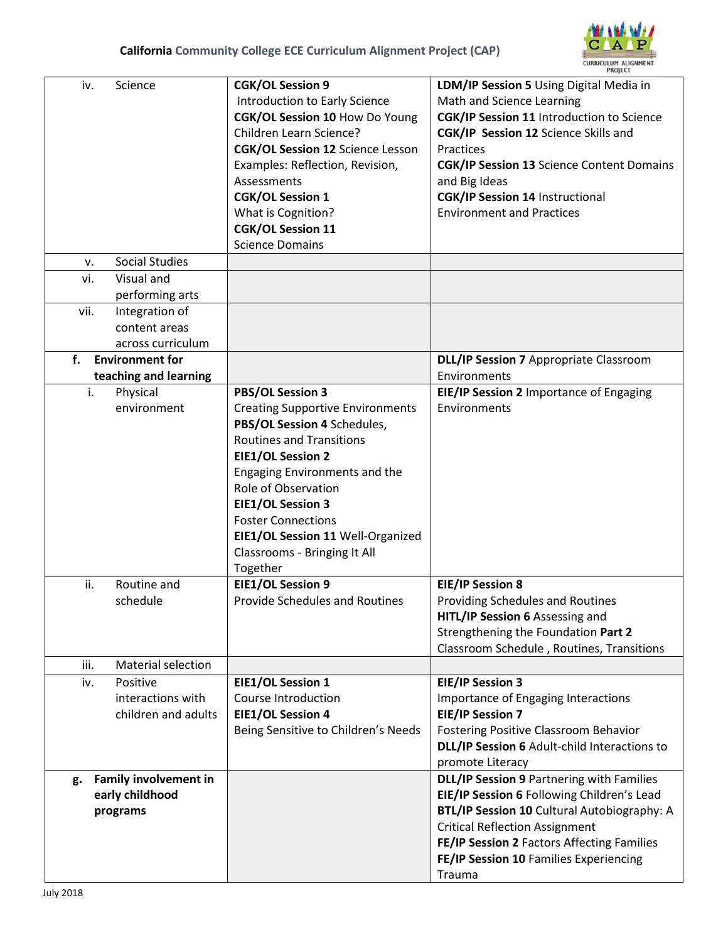

|                                                                   |                                                                                                                                                                                                                                                                                                                                                                           | <b>PROJECT</b>                                                                                                                                                                                                                                                                                                                   |  |
|-------------------------------------------------------------------|---------------------------------------------------------------------------------------------------------------------------------------------------------------------------------------------------------------------------------------------------------------------------------------------------------------------------------------------------------------------------|----------------------------------------------------------------------------------------------------------------------------------------------------------------------------------------------------------------------------------------------------------------------------------------------------------------------------------|--|
| Science<br>iv.                                                    | <b>CGK/OL Session 9</b><br>Introduction to Early Science<br>CGK/OL Session 10 How Do Young<br>Children Learn Science?<br><b>CGK/OL Session 12 Science Lesson</b><br>Examples: Reflection, Revision,<br>Assessments<br><b>CGK/OL Session 1</b><br>What is Cognition?<br><b>CGK/OL Session 11</b><br><b>Science Domains</b>                                                 | LDM/IP Session 5 Using Digital Media in<br>Math and Science Learning<br><b>CGK/IP Session 11 Introduction to Science</b><br>CGK/IP Session 12 Science Skills and<br>Practices<br><b>CGK/IP Session 13 Science Content Domains</b><br>and Big Ideas<br><b>CGK/IP Session 14 Instructional</b><br><b>Environment and Practices</b> |  |
| <b>Social Studies</b><br>v.                                       |                                                                                                                                                                                                                                                                                                                                                                           |                                                                                                                                                                                                                                                                                                                                  |  |
| Visual and<br>vi.<br>performing arts                              |                                                                                                                                                                                                                                                                                                                                                                           |                                                                                                                                                                                                                                                                                                                                  |  |
| vii.<br>Integration of<br>content areas<br>across curriculum      |                                                                                                                                                                                                                                                                                                                                                                           |                                                                                                                                                                                                                                                                                                                                  |  |
| <b>Environment for</b><br>f.                                      |                                                                                                                                                                                                                                                                                                                                                                           | <b>DLL/IP Session 7 Appropriate Classroom</b>                                                                                                                                                                                                                                                                                    |  |
| teaching and learning                                             |                                                                                                                                                                                                                                                                                                                                                                           | Environments                                                                                                                                                                                                                                                                                                                     |  |
| i.<br>Physical<br>environment                                     | <b>PBS/OL Session 3</b><br><b>Creating Supportive Environments</b><br>PBS/OL Session 4 Schedules,<br><b>Routines and Transitions</b><br><b>EIE1/OL Session 2</b><br><b>Engaging Environments and the</b><br>Role of Observation<br><b>EIE1/OL Session 3</b><br><b>Foster Connections</b><br>EIE1/OL Session 11 Well-Organized<br>Classrooms - Bringing It All<br>Together | EIE/IP Session 2 Importance of Engaging<br>Environments                                                                                                                                                                                                                                                                          |  |
| ii.<br>Routine and<br>schedule                                    | <b>EIE1/OL Session 9</b><br><b>Provide Schedules and Routines</b>                                                                                                                                                                                                                                                                                                         | <b>EIE/IP Session 8</b><br>Providing Schedules and Routines<br>HITL/IP Session 6 Assessing and<br>Strengthening the Foundation Part 2<br>Classroom Schedule, Routines, Transitions                                                                                                                                               |  |
| <b>Material selection</b><br>iii.                                 |                                                                                                                                                                                                                                                                                                                                                                           |                                                                                                                                                                                                                                                                                                                                  |  |
| Positive<br>iv.<br>interactions with<br>children and adults       | EIE1/OL Session 1<br>Course Introduction<br><b>EIE1/OL Session 4</b><br>Being Sensitive to Children's Needs                                                                                                                                                                                                                                                               | <b>EIE/IP Session 3</b><br>Importance of Engaging Interactions<br><b>EIE/IP Session 7</b><br>Fostering Positive Classroom Behavior<br>DLL/IP Session 6 Adult-child Interactions to<br>promote Literacy                                                                                                                           |  |
| <b>Family involvement in</b><br>g.<br>early childhood<br>programs |                                                                                                                                                                                                                                                                                                                                                                           | DLL/IP Session 9 Partnering with Families<br>EIE/IP Session 6 Following Children's Lead<br>BTL/IP Session 10 Cultural Autobiography: A<br><b>Critical Reflection Assignment</b><br>FE/IP Session 2 Factors Affecting Families<br>FE/IP Session 10 Families Experiencing<br>Trauma                                                |  |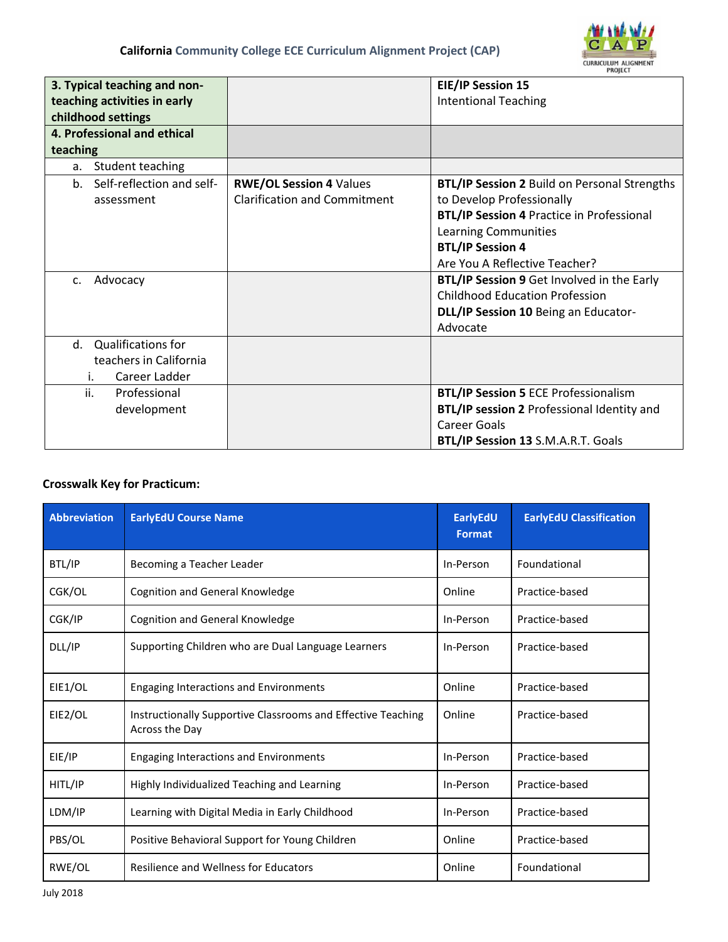

| 3. Typical teaching and non-<br>teaching activities in early<br>childhood settings |                                     | <b>EIE/IP Session 15</b><br><b>Intentional Teaching</b> |  |  |
|------------------------------------------------------------------------------------|-------------------------------------|---------------------------------------------------------|--|--|
| 4. Professional and ethical                                                        |                                     |                                                         |  |  |
| teaching                                                                           |                                     |                                                         |  |  |
| Student teaching<br>a.                                                             |                                     |                                                         |  |  |
| b. Self-reflection and self-                                                       | <b>RWE/OL Session 4 Values</b>      | <b>BTL/IP Session 2 Build on Personal Strengths</b>     |  |  |
| assessment                                                                         | <b>Clarification and Commitment</b> | to Develop Professionally                               |  |  |
|                                                                                    |                                     | <b>BTL/IP Session 4 Practice in Professional</b>        |  |  |
|                                                                                    |                                     | <b>Learning Communities</b>                             |  |  |
|                                                                                    |                                     | <b>BTL/IP Session 4</b>                                 |  |  |
|                                                                                    |                                     | Are You A Reflective Teacher?                           |  |  |
| Advocacy<br>c.                                                                     |                                     | BTL/IP Session 9 Get Involved in the Early              |  |  |
|                                                                                    |                                     | <b>Childhood Education Profession</b>                   |  |  |
|                                                                                    |                                     | DLL/IP Session 10 Being an Educator-                    |  |  |
|                                                                                    |                                     | Advocate                                                |  |  |
| d. Qualifications for                                                              |                                     |                                                         |  |  |
| teachers in California                                                             |                                     |                                                         |  |  |
| Career Ladder<br>İ.                                                                |                                     |                                                         |  |  |
| ii.<br>Professional                                                                |                                     | <b>BTL/IP Session 5 ECE Professionalism</b>             |  |  |
| development                                                                        |                                     | <b>BTL/IP session 2 Professional Identity and</b>       |  |  |
|                                                                                    |                                     | Career Goals                                            |  |  |
|                                                                                    |                                     | BTL/IP Session 13 S.M.A.R.T. Goals                      |  |  |

## **Crosswalk Key for Practicum:**

| <b>Abbreviation</b> | <b>EarlyEdU Course Name</b>                                                    | EarlyEdU<br>Format | <b>EarlyEdU Classification</b> |
|---------------------|--------------------------------------------------------------------------------|--------------------|--------------------------------|
| BTL/IP              | Becoming a Teacher Leader                                                      | In-Person          | Foundational                   |
| CGK/OL              | <b>Cognition and General Knowledge</b>                                         | Online             | Practice-based                 |
| CGK/IP              | <b>Cognition and General Knowledge</b>                                         | In-Person          | Practice-based                 |
| DLL/IP              | Supporting Children who are Dual Language Learners                             | In-Person          | Practice-based                 |
| EIE1/OL             | <b>Engaging Interactions and Environments</b>                                  | Online             | Practice-based                 |
| EIE2/OL             | Instructionally Supportive Classrooms and Effective Teaching<br>Across the Day | Online             | Practice-based                 |
| EIE/IP              | <b>Engaging Interactions and Environments</b>                                  | In-Person          | Practice-based                 |
| HITL/IP             | Highly Individualized Teaching and Learning                                    | In-Person          | Practice-based                 |
| LDM/IP              | Learning with Digital Media in Early Childhood                                 | In-Person          | Practice-based                 |
| PBS/OL              | Positive Behavioral Support for Young Children                                 | Online             | Practice-based                 |
| RWE/OL              | <b>Resilience and Wellness for Educators</b>                                   | Online             | Foundational                   |